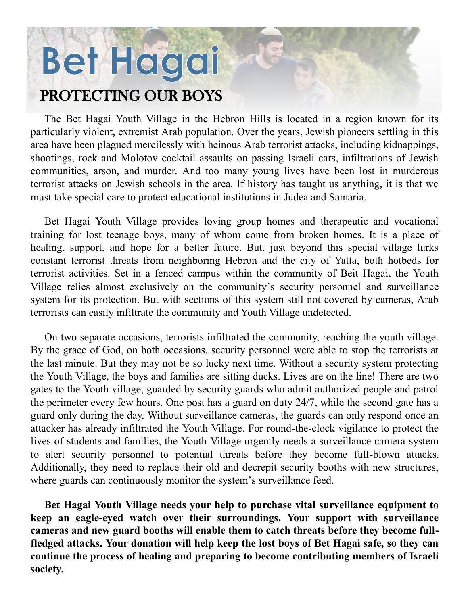## Bet Hagai

## PROTECTING OUR BOYS

The Bet Hagai Youth Village in the Hebron Hills is located in a region known for its particularly violent, extremist Arab population. Over the years, Jewish pioneers settling in this area have been plagued mercilessly with heinous Arab terrorist attacks, including kidnappings, shootings, rock and Molotov cocktail assaults on passing Israeli cars, infiltrations of Jewish communities, arson, and murder. And too many young lives have been lost in murderous terrorist attacks on Jewish schools in the area. If history has taught us anything, it is that we must take special care to protect educational institutions in Judea and Samaria.

Bet Hagai Youth Village provides loving group homes and therapeutic and vocational training for lost teenage boys, many of whom come from broken homes. It is a place of healing, support, and hope for a better future. But, just beyond this special village lurks constant terrorist threats from neighboring Hebron and the city of Yatta, both hotbeds for terrorist activities. Set in a fenced campus within the community of Beit Hagai, the Youth Village relies almost exclusively on the community's security personnel and surveillance system for its protection. But with sections of this system still not covered by cameras, Arab terrorists can easily infiltrate the community and Youth Village undetected.

On two separate occasions, terrorists infiltrated the community, reaching the youth village. By the grace of God, on both occasions, security personnel were able to stop the terrorists at the last minute. But they may not be so lucky next time. Without a security system protecting the Youth Village, the boys and families are sitting ducks. Lives are on the line! There are two gates to the Youth village, guarded by security guards who admit authorized people and patrol the perimeter every few hours. One post has a guard on duty 24/7, while the second gate has a guard only during the day. Without surveillance cameras, the guards can only respond once an attacker has already infiltrated the Youth Village. For round-the-clock vigilance to protect the lives of students and families, the Youth Village urgently needs a surveillance camera system to alert security personnel to potential threats before they become full-blown attacks. Additionally, they need to replace their old and decrepit security booths with new structures, where guards can continuously monitor the system's surveillance feed.

**Bet Hagai Youth Village needs your help to purchase vital surveillance equipment to keep an eagle-eyed watch over their surroundings. Your support with surveillance cameras and new guard booths will enable them to catch threats before they become fullfledged attacks. Your donation will help keep the lost boys of Bet Hagai safe, so they can continue the process of healing and preparing to become contributing members of Israeli society.**